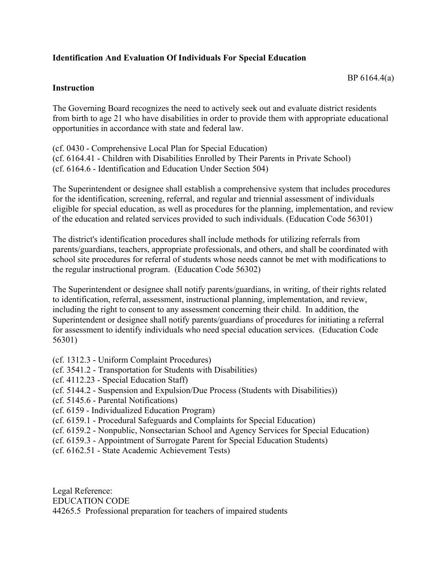## **Identification And Evaluation Of Individuals For Special Education**

## BP 6164.4(a)

## **Instruction**

The Governing Board recognizes the need to actively seek out and evaluate district residents from birth to age 21 who have disabilities in order to provide them with appropriate educational opportunities in accordance with state and federal law.

(cf. 0430 - Comprehensive Local Plan for Special Education) (cf. 6164.41 - Children with Disabilities Enrolled by Their Parents in Private School) (cf. 6164.6 - Identification and Education Under Section 504)

The Superintendent or designee shall establish a comprehensive system that includes procedures for the identification, screening, referral, and regular and triennial assessment of individuals eligible for special education, as well as procedures for the planning, implementation, and review of the education and related services provided to such individuals. (Education Code 56301)

The district's identification procedures shall include methods for utilizing referrals from parents/guardians, teachers, appropriate professionals, and others, and shall be coordinated with school site procedures for referral of students whose needs cannot be met with modifications to the regular instructional program. (Education Code 56302)

The Superintendent or designee shall notify parents/guardians, in writing, of their rights related to identification, referral, assessment, instructional planning, implementation, and review, including the right to consent to any assessment concerning their child. In addition, the Superintendent or designee shall notify parents/guardians of procedures for initiating a referral for assessment to identify individuals who need special education services. (Education Code 56301)

- (cf. 1312.3 Uniform Complaint Procedures)
- (cf. 3541.2 Transportation for Students with Disabilities)
- (cf. 4112.23 Special Education Staff)
- (cf. 5144.2 Suspension and Expulsion/Due Process (Students with Disabilities))
- (cf. 5145.6 Parental Notifications)
- (cf. 6159 Individualized Education Program)
- (cf. 6159.1 Procedural Safeguards and Complaints for Special Education)
- (cf. 6159.2 Nonpublic, Nonsectarian School and Agency Services for Special Education)
- (cf. 6159.3 Appointment of Surrogate Parent for Special Education Students)
- (cf. 6162.51 State Academic Achievement Tests)

Legal Reference: EDUCATION CODE 44265.5 Professional preparation for teachers of impaired students